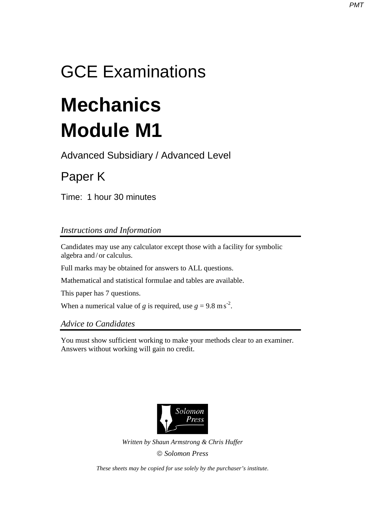## GCE Examinations

# **Mechanics Module M1**

Advanced Subsidiary / Advanced Level

### Paper K

Time: 1 hour 30 minutes

#### *Instructions and Information*

Candidates may use any calculator except those with a facility for symbolic algebra and / or calculus.

Full marks may be obtained for answers to ALL questions.

Mathematical and statistical formulae and tables are available.

This paper has 7 questions.

When a numerical value of *g* is required, use  $g = 9.8 \text{ m s}^2$ .

*Advice to Candidates* 

You must show sufficient working to make your methods clear to an examiner. Answers without working will gain no credit.



*Written by Shaun Armstrong & Chris Huffer Solomon Press* 

*These sheets may be copied for use solely by the purchaser's institute.*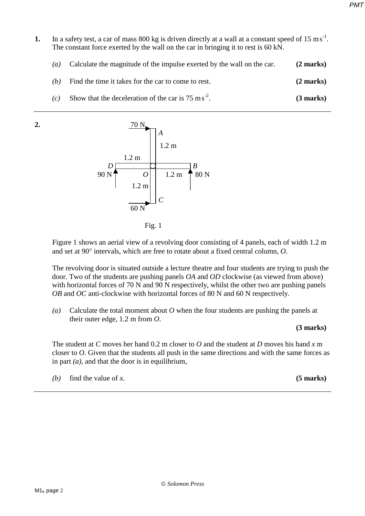- **1.** In a safety test, a car of mass 800 kg is driven directly at a wall at a constant speed of 15 ms<sup>-1</sup>. The constant force exerted by the wall on the car in bringing it to rest is 60 kN.
	- *(a)* Calculate the magnitude of the impulse exerted by the wall on the car. **(2 marks)**
	- *(b)* Find the time it takes for the car to come to rest. **(2 marks)**
	- *(c)* Show that the deceleration of the car is  $75 \text{ ms}^{-2}$ . -2. **(3 marks)**

**2.**  $70 \text{ N}$  $\begin{array}{|c|c|c|c|c|}\n\hline\n\text{A}\n\end{array}$ 1.2 m 1.2 m  $D \Box$   $B$  $90 \text{ N}$   $O \vert 1.2 \text{ m}$   $\uparrow$  80 N 1.2 m  $\Box$  *C* 60 N



Figure 1 shows an aerial view of a revolving door consisting of 4 panels, each of width 1.2 m and set at 90° intervals, which are free to rotate about a fixed central column, *O*.

The revolving door is situated outside a lecture theatre and four students are trying to push the door. Two of the students are pushing panels *OA* and *OD* clockwise (as viewed from above) with horizontal forces of 70 N and 90 N respectively, whilst the other two are pushing panels *OB* and *OC* anti-clockwise with horizontal forces of 80 N and 60 N respectively.

*(a)* Calculate the total moment about *O* when the four students are pushing the panels at their outer edge, 1.2 m from *O*.

#### **(3 marks)**

The student at *C* moves her hand 0.2 m closer to *O* and the student at *D* moves his hand *x* m closer to *O*. Given that the students all push in the same directions and with the same forces as in part  $(a)$ , and that the door is in equilibrium.

*(b)* find the value of *x*. **(5 marks)**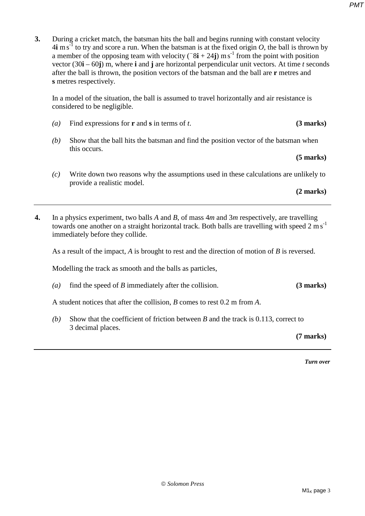**3.** During a cricket match, the batsman hits the ball and begins running with constant velocity  $4\mathbf{i}$  m s<sup>-1</sup> to try and score a run. When the batsman is at the fixed origin *O*, the ball is thrown by a member of the opposing team with velocity  $($ <sup>-8</sup> $\mathbf{i}$  + 24**j**) ms<sup>-1</sup> from the point with position vector (30**i** – 60**j**) m, where **i** and **j** are horizontal perpendicular unit vectors. At time *t* seconds after the ball is thrown, the position vectors of the batsman and the ball are **r** metres and **s** metres respectively.

In a model of the situation, the ball is assumed to travel horizontally and air resistance is considered to be negligible.

- *(a)* Find expressions for **r** and **s** in terms of *t*. **(3 marks)**
- *(b)* Show that the ball hits the batsman and find the position vector of the batsman when this occurs.

#### **(5 marks)**

*(c)* Write down two reasons why the assumptions used in these calculations are unlikely to provide a realistic model.

**(2 marks)** 

**4.** In a physics experiment, two balls *A* and *B*, of mass 4*m* and 3*m* respectively, are travelling towards one another on a straight horizontal track. Both balls are travelling with speed 2 m s<sup>-1</sup> immediately before they collide.

As a result of the impact, *A* is brought to rest and the direction of motion of *B* is reversed.

Modelling the track as smooth and the balls as particles,

*(a)* find the speed of *B* immediately after the collision. **(3 marks)** 

A student notices that after the collision, *B* comes to rest 0.2 m from *A*.

*(b)* Show that the coefficient of friction between *B* and the track is 0.113, correct to 3 decimal places.

**(7 marks)** 

*Turn over*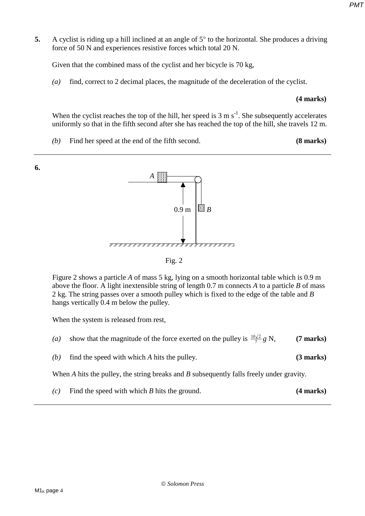**5.** A cyclist is riding up a hill inclined at an angle of 5° to the horizontal. She produces a driving force of 50 N and experiences resistive forces which total 20 N.

Given that the combined mass of the cyclist and her bicycle is 70 kg,

*(a)* find, correct to 2 decimal places, the magnitude of the deceleration of the cyclist.

#### **(4 marks)**

When the cyclist reaches the top of the hill, her speed is  $3 \text{ m s}^{-1}$ . She subsequently accelerates uniformly so that in the fifth second after she has reached the top of the hill, she travels 12 m.

*(b)* Find her speed at the end of the fifth second. **(8 marks)** 





Figure 2 shows a particle *A* of mass 5 kg, lying on a smooth horizontal table which is 0.9 m above the floor. A light inextensible string of length 0.7 m connects *A* to a particle *B* of mass 2 kg. The string passes over a smooth pulley which is fixed to the edge of the table and *B*  hangs vertically 0.4 m below the pulley.

When the system is released from rest,

- *(a)* show that the magnitude of the force exerted on the pulley is  $\frac{10\sqrt{2}}{7}g$  N, <sup>210</sup> N, **(7 marks)**
- *(b)* find the speed with which *A* hits the pulley. **(3 marks)**

When *A* hits the pulley, the string breaks and *B* subsequently falls freely under gravity.

*(c)* Find the speed with which *B* hits the ground. **(4 marks)**